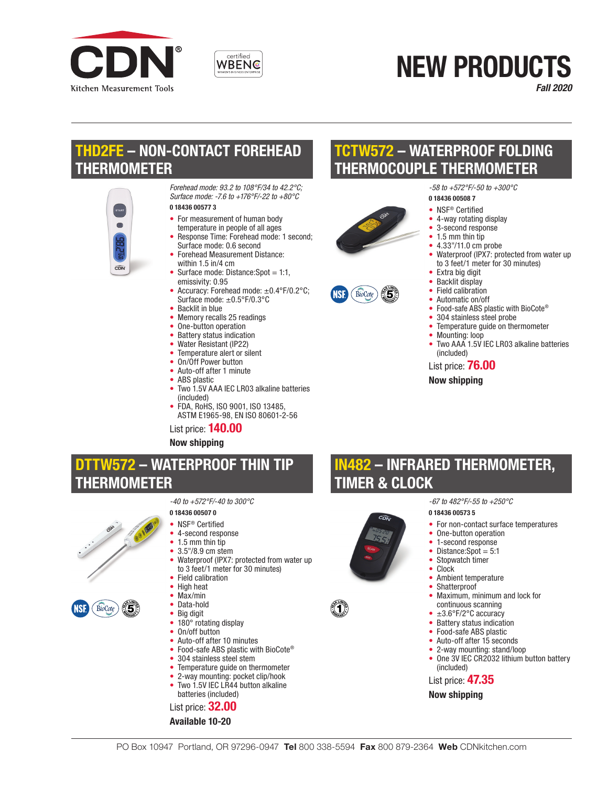



# NEW PRODUCTS

*Fall 2020*

# THD2FE – NON-CONTACT FOREHEAD THERMOMETER



*Forehead mode: 93.2 to 108°F/34 to 42.2°C; Surface mode: -7.6 to +176°F/-22 to +80°C* 0 18436 00577 3

- For measurement of human body
- temperature in people of all ages • Response Time: Forehead mode: 1 second: Surface mode: 0.6 second
- Forehead Measurement Distance: within 1.5 in/4 cm
- Surface mode: Distance: Spot =  $1:1$ , emissivity: 0.95
- Accuracy: Forehead mode: ±0.4°F/0.2°C; Surface mode: ±0.5°F/0.3°C
- Backlit in blue
- Memory recalls 25 readings
- One-button operation<br>• Battery status indication
- Battery status indication
- Water Resistant (IP22)
- Temperature alert or silent
- On/Off Power button
- Auto-off after 1 minute
- ABS plastic
- Two 1.5V AAA IEC LR03 alkaline batteries (included)
- FDA, RoHS, ISO 9001, ISO 13485. ASTM E1965-98, EN ISO 80601-2-56

List price: 140.00

*-40 to +572°F/-40 to 300°C*

#### Now shipping

## DTTW572 – WATERPROOF THIN TIP THERMOMETER

0 18436 00507 0 • NSF® Certified • 4-second response • 1.5 mm thin tip • 3.5"/8.9 cm stem



- Max/min Data-hold • Big digit
- 
- 180° rotating display<br>• On/off button • On/off button

• Field calibration • High heat

- Auto-off after 10 minutes
- Food-safe ABS plastic with BioCote®

• Waterproof (IPX7: protected from water up to 3 feet/1 meter for 30 minutes)

- 304 stainless steel stem
- Temperature guide on thermometer
- 2-way mounting: pocket clip/hook
- Two 1.5V IEC LR44 button alkaline batteries (included)

#### List price: 32.00



# W572 – WATERPROOF FOLDING THERMOCOUPLE THERMOMETER

0 18436 00508 7 • NSF<sup>®</sup> Certified • 4-way rotating display • 3-second response • 1.5 mm thin tip<br>•  $4.33''/11.0 \text{ cm}$ • 4.33"/11.0 cm probe





- Automatic on/off
- Food-safe ABS plastic with BioCote®
- 304 stainless steel probe

*-58 to +572°F/-50 to +300°C*

Temperature quide on thermometer

• Extra big digit<br>• Backlit display • Backlit display • Field calibration

- Mounting: loop
- Two AAA 1.5V IEC LR03 alkaline batteries (included)

• Waterproof (IPX7: protected from water up to 3 feet/1 meter for 30 minutes)

- List price: 76.00
- Now shipping

# IN482 – INFRARED THERMOMETER, TIMER & CLOCK



- For non-contact surface temperatures
- One-button operation
- 1-second response
- Distance: Spot =  $5:1$
- Stopwatch timer
- Clock
- Ambient temperature
- Shatterproof
- Maximum, minimum and lock for continuous scanning
- ±3.6°F/2°C accuracy
- Battery status indication<br>• Food-safe ABS plastic
- Food-safe ABS plastic
- Auto-off after 15 seconds
- 2-way mounting: stand/loop
- One 3V IEC CR2032 lithium button battery (included)

List price: 47.35

Now shipping

íT.

- 
-